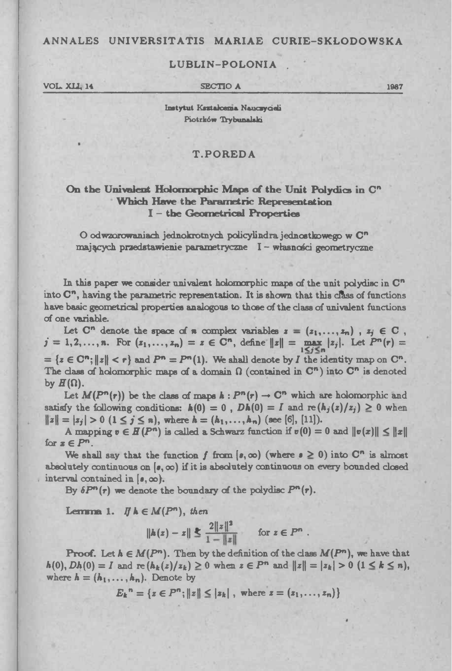## ANNALES UNIVERSITATIS MARIAE CURIE-SKLODOWSKA

## LUBLIN-POLONIA

VOL XII, 14

**SECTIO A** 

1987

Instytut Kaztakosma Nauczycieli Piotrków Trybunalski

## **T.POREDA**

# On the Univalent Holomorphic Maps of the Unit Polydics in C" Which Have the Parametric Representation I - the Geometrical Properties

O odwzorowaniach jednokrotnych policylindra jednostkowego w C<sup>n</sup> mających przedstawienie parametryczne I - własności geometryczne

In this paper we consider univalent holomorphic maps of the unit polydisc in  $\mathbb{C}^n$ into C", having the parametric representation. It is shown that this class of functions have basic geometrical properties analogous to those of the class of univalent functions of one variable.

Let  $C^n$  denote the space of  $n$  complex variables  $z = (z_1, \ldots, z_n)$ ,  $z_j \in C$ ,  $j = 1, 2, ..., n$ . For  $(z_1, ..., z_n) = z \in \mathbb{C}^n$ , define  $||z|| = \max_{1 \leq j \leq n} |z_j|$ . Let  $P^n(r) =$ =  $\{z \in \mathbb{C}^n; ||z|| < r\}$  and  $P^n = P^n(1)$ . We shall denote by I the identity map on  $\mathbb{C}^n$ . The class of holomorphic maps of a domain  $\Omega$  (contained in  $\mathbb{C}^n$ ) into  $\mathbb{C}^n$  is denoted by  $H(\Omega)$ .

Let  $M(P^n(r))$  be the class of maps  $h: P^n(r) \to \mathbb{C}^n$  which are holomorphic and satisfy the following conditions:  $h(0) = 0$ ,  $Dh(0) = I$  and  $\text{re}(h_j(z)/z_j) \geq 0$  when  $||z|| = |z_j| > 0$   $(1 \le j \le n)$ , where  $h = (h_1, \ldots, h_n)$  (see [6], [11]).

A mapping  $v \in H(P^n)$  is called a Schwarz function if  $v(0) = 0$  and  $||v(x)|| \le ||x||$ for  $x \in P^n$ .

We shall say that the function f from  $(s, \infty)$  (where  $s \ge 0$ ) into C<sup>n</sup> is almost absolutely continuous on  $(s, \infty)$  if it is absolutely continuous on every bounded closed interval contained in  $(s, \infty)$ .

By  $\delta P^{n}(r)$  we denote the boundary of the polydisc  $P^{n}(r)$ .

**Lemma 1.** If  $h \in M(P^n)$ , then

$$
\|h(z) - z\| \le \frac{2\|z\|^2}{1 - \|z\|} \quad \text{for } z \in P^n.
$$

**Proof.** Let  $h \in M(P^n)$ . Then by the definition of the class  $M(P^n)$ , we have that  $h(0), Dh(0) = I$  and  $re(h_k(z)/z_k) \ge 0$  when  $z \in P^n$  and  $||z|| = |z_k| > 0$   $(1 \le k \le n)$ , where  $h = (h_1, \ldots, h_n)$ . Denote by

 $E_k^n = \{z \in P^n; ||z|| \le |z_k|, \text{ where } z = (z_1, \ldots, z_n)\}\$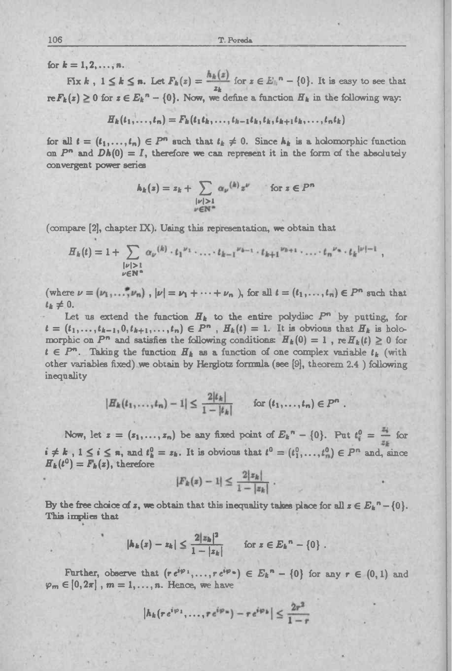*for*  $k = 1, 2, ..., n$ .

Fix *k* ,  $1 \le k \le n$ . Let  $F_k(z) = \frac{h_k(z)}{z_k}$  for  $z \in E_k^n - \{0\}$ . It is easy to see that  $r \in F_k(z) \geq 0$  for  $z \in E_k^n - \{0\}$ . Now, we define a function  $H_k$  in the following way:

 $H_k(t_1, \ldots, t_n) = F_k(t_1 t_k, \ldots, t_{k-1} t_k, t_k, t_{k+1} t_k, \ldots, t_n t_k)$ 

*for* all  $t = (t_1, \ldots, t_n) \in P^n$  such that  $t_k \neq 0$ . Since  $h_k$  is a holomorphic function on  $P^n$  and  $Dh(0) = I$ , therefore we can represent it in the form of the absolutely convergent power series

$$
h_k(z) = z_k + \sum_{\substack{|v| > 1\\ v \in \mathbb{N}^n}} \alpha_{v}(k) z^{v} \quad \text{for } z \in P^n
$$

(compare  $[2]$ , chapter  $[1]$ ). Using this representation, we obtain that

$$
H_k(t) = 1 + \sum_{\substack{| \nu | > 1 \\ \nu \in \mathbb{N}^n}} \alpha_{\nu}^{(k)} \cdot t_1^{\nu_1} \cdot \ldots \cdot t_{k-1}^{\nu_{k-1}} \cdot t_{k+1}^{\nu_{k+1}} \cdot \ldots \cdot t_n^{\nu_n} \cdot t_k^{|\nu|-1}
$$

(where  $\nu = (\nu_1, \ldots, \nu_n)$ ,  $|\nu| = \nu_1 + \cdots + \nu_n$ ), for all  $t = (t_1, \ldots, t_n) \in P^n$  such that  $i_k \neq 0$ .

Let us extend the function  $H_k$  to the entire polydisc  $P^n$  by putting, for  $t = (t_1, \ldots, t_{k-1}, 0, t_{k+1}, \ldots, t_n) \in P^n$ ,  $H_k(t) = 1$ . It is obvious that  $H_k$  is holo $t = (t_1, \ldots, t_{k-1}, 0, t_{k+1}, \ldots, t_n) \in P^n$ ,  $H_k(t) = 1$ . It is obvious that  $H_k$  is holomorphic on  $P^n$  and satisfies the following conditions:  $H_k(0) = 1$ ,  $\text{ref}(t) \geq 0$  for  $t \in P^n$ . Taking the function  $H_k$  as a function of  $t \in P^n$ . Taking the function  $H_k$  as a function of one complex variable  $t_k$  (with other variables fixed) we obtain by Herglotz formula (see [9], theorem 2.4 ) following inequality

$$
|H_k(t_1,\ldots,t_n)-1|\leq \frac{2|t_k|}{1-|t_k|}\qquad \text{for } (t_1,\ldots,t_n)\in P^n.
$$

Now, let  $z = (z_1, \ldots, z_n)$  be any fixed point of  $E_k^n - \{0\}$ . Put  $t_i^0 = \frac{z_i^0}{z_i}$  for  $i \neq k$ ,  $1 \leq i \leq n$ , and  $t_k^0 = z_k$ . It is obvious that  $t^0 = (t_1^0, \ldots, t_n^0) \in P^n$  and, since  $H_k(t^0) = F_k(z)$ , therefore

$$
|F_k(z)-1| \leq \frac{2|z_k|}{1-|z_k|}.
$$

By the free choice of *x*, we obtain that this inequality takes place for all  $z \in E_k$ <sup>n</sup> – {0}. **This implies that**

$$
|h_k(z)-z_k|\leq \frac{2|z_k|^2}{1-|z_k|} \quad \text{for } z\in E_k^n-\{0\}.
$$

Further, observe that  $(re^{i\varphi_1},...,re^{i\varphi_n}) \in E_k^n - \{0\}$  for any  $r \in (0,1)$  and  $\varphi_m \in [0, 2\pi]$ ,  $m = 1, \ldots, n$ . Hence, we have

$$
|h_k(re^{i\varphi_1},\ldots,re^{i\varphi_n})-re^{i\varphi_k}| \leq \frac{2r^2}{1-r}
$$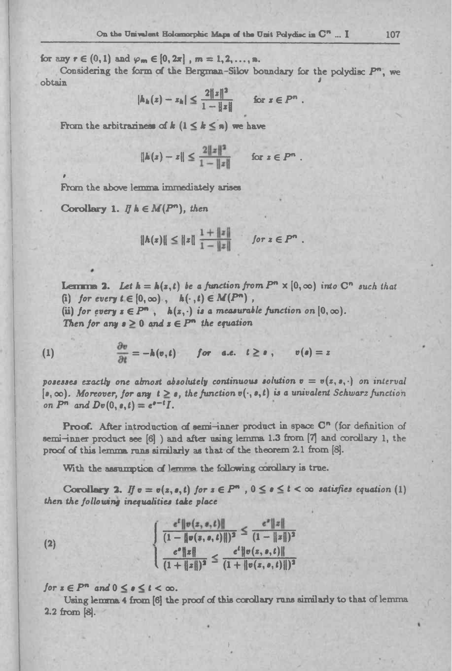for any  $r \in (0,1)$  and  $\varphi_m \in [0,2\pi]$ ,  $m = 1,2,...,n$ .

Considering the form of the Bergman-Silov boundary for the polydiac  $P^n$ , we obtain obtain Jackson and the contract of the contract of the contract of the contract of the contract of the contract of the contract of the contract of the contract of the contract of the contract of the contract of the contrac

$$
|h_h(z)-z_h|\leq \frac{2\|z\|^2}{1-\|z\|} \quad \text{for } z\in P^n.
$$

From the arbitrariness of  $k$   $(1 \leq k \leq n)$  we have

$$
\|h(z)-z\| \leq \frac{2\|z\|^2}{1-\|z\|} \quad \text{for } z \in P^n.
$$

From the above lemma immediately arises

Corollary 1.  $\mathbb{I}$   $h \in M(P^n)$ , then

**»**

$$
\|h(z)\| \le \|z\| \frac{1 + \|z\|}{1 - \|z\|} \quad \text{for } z \in P^n.
$$

**Lemma 2.** Let  $h = h(z, t)$  be a function from  $P^n \times [0, \infty)$  into  $C^n$  such that (i) *for every*  $t \in [0, \infty)$ ,  $h(\cdot, t) \in M(P^n)$ , **Lemma 2.** Let  $h = h(z, t)$  be a function from  $P^n \times [0, \infty)$  into C<br>(i) for every  $t \in [0, \infty)$ ,  $h(\cdot, t) \in M(P^n)$ ,<br>(ii) for every  $z \in P^n$ ,  $h(z, \cdot)$  is a measurable function on  $[0, \infty)$ .<br>Then for any  $s > 0$  and  $z \in P^n$  the equa

*Then for any*  $s \geq 0$  *and*  $s \in P^n$  *the equation* (ii) for every  $z \in P^n$ ,  $h(z, \cdot)$  is a measurable function on  $[0, \infty)$ .

(1) 
$$
\frac{\partial v}{\partial t} = -h(v,t) \quad \text{for a.e. } t \geq s, \quad v(s) = z
$$

posesses exactly one almost absolutely continuous solution  $v = v(z, s, \cdot)$  on interval  $poseses$  exactly one almost absolutely continuous solution  $v = v(z, s, \cdot)$  on interval  $[s, \infty)$ . Moreover, for any  $t \ge s$ , the function  $v(\cdot, s, t)$  is a univalent *Schwarz* function *on P*<sup>*n*</sup> and *Dv*(0,*e*,*t*) =  $e^{e^{-t}t}I$ .

on  $P^n$  and  $Dv(0, e, t) = e^{e-t}I$ .<br>**Proof.** After introduction of semi-inner product in space  $C^n$  (for definition of semi-inner product see  $[6]$  ) and after using lemma 1.3 from  $[7]$  and corollary 1, the proof of this lemma runs similarly as that of the theorem 2.1 from [8].

With the assumption of lemma the following corollary is true.

Corollary 2. If  $v = v(z, s, t)$  for  $s \in P^n$ ,  $0 \le s \le t < \infty$  satisfies equation (1) *then the following inequalities take place*

(2)  

$$
\begin{cases}\n\frac{e^t \|\nu(z,s,t)\|}{(1-\|\nu(z,s,t)\|)^2} \leq \frac{e^s \|z\|}{(1-\|z\|)^2} \\
\frac{e^s \|z\|}{(1+\|z\|)^2} \leq \frac{e^t \|\nu(z,s,t)\|}{(1+\|\nu(z,s,t)\|)^2}\n\end{cases}
$$

*for*  $z \in P^n$  and  $0 \leq s \leq t < \infty$ .

Using lemma 4 from [6] the proof of this corollary runs similarly to that of lemma 2.2 from [8].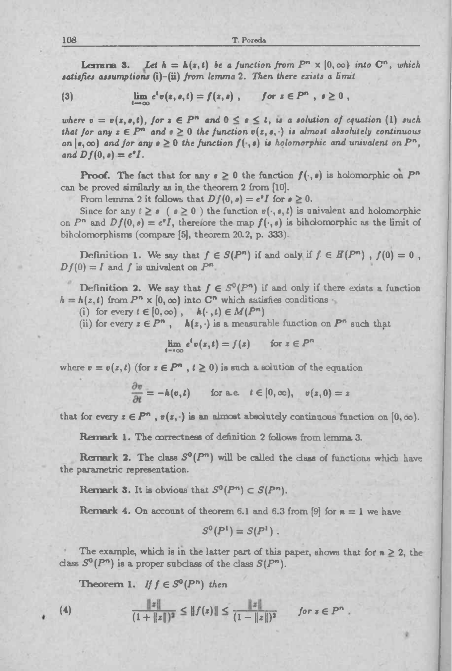108 **T. Pored\***

108<br> **Extract 1.** T. Poreds<br> **Extracts 1.** Let  $h = h(x, t)$  be a function from  $P^n \times [0, \infty)$  into  $C^n$ , which<br>
satisfies assumptions (i)-(ii) from lemma 2. Then there exists a limit 108<br> **Lermanne 3.** Let  $h = h(z, t)$  be a function from  $P^n \times [0, \infty)$ <br>
satisfies assumptions (i)-(ii) from lemma 2. Then there exists a lim<br>
(3)  $\lim_{t \to \infty} e^t v(z, s, t) = f(z, s)$ , for  $z \in P^n$ ,  $s \ge 0$ ,

(3) 
$$
\lim_{t\to\infty}e^t v(z, s, t)=f(z, s), \quad for\ z\in P^n, s\geq 0,
$$

where  $v = v(z, e, t)$ , for  $z \in P^n$  and  $0 \le e \le t$ , is a solution of equation (1) such that for any  $z \in P^n$  and  $z \ge 0$  the function  $v(z, z, \cdot)$  is almost absolutely continuous on  $(e, \infty)$  and for any  $e \ge 0$  the function  $f(\cdot, e)$  is holomorphic and univalent on  $P^n$ ,  $and$   $Df(0, s) = e^{s}I$ .

**Proof.** The fact that for any  $s \geq 0$  the function  $f(\cdot, s)$  is holomorphic on  $P^n$ can be proved similarly as in the theorem <sup>2</sup> from [10].

From lemma 2 it follows that  $Df(0, s) = e^sI$  for  $s \ge 0$ .

Since for any  $t \ge s$  ( $s \ge 0$ ) the function  $v(\cdot, s, t)$  is univalent and holomorphic on  $P^n$  and  $Df(0, s) = e^sI$ , thereiore the map  $f(\cdot, s)$  is biholomorphic as the limit of bihdomorphisms (compare [5], theorem 20.2, p. 333).

Definition 1. We say that  $f \in S(P^n)$  if and only if  $f \in H(P^n)$ ,  $f(0) = 0$ ,  $Df(0) = I$  and  $f$  is univalent on  $P^n$ .

**Definition 2.** We say that  $f \in S^0(P^n)$  if and only if there exists a function  $h = h(z, t)$  from  $P^n \times [0, \infty)$  into  $C^n$  which satisfies conditions Example 18  $f \in S^0(P^n)$  if and only  $\infty$ ) into  $C^n$  which satisfies condition (b),  $h(\cdot, t) \in M(P^n)$ ,  $h(z, \cdot)$  is a measurable function (h)  $\lim_{z \to \infty} e^t v(z, t) = f(z)$  for  $z \in P^n$ 

(i) for every  $t \in [0, \infty)$ ,  $h(\cdot, t) \in M(P^n)$ 

(ii) for every  $z \in P^n$ ,  $h(z, \cdot)$  is a measurable function on  $P^n$  such that

where  $v = v(z, t)$  (for  $z \in P^n$ ,  $t \ge 0$ ) is such a solution of the equation

$$
\lim_{t \to \infty} e^t v(z,t) = f(z) \quad \text{for } z \in P^n
$$
  
(for  $z \in P^n$ ,  $t \ge 0$ ) is such a solution of the equal  

$$
\frac{\partial v}{\partial t} = -h(v,t) \quad \text{for a.e.} \quad t \in [0,\infty), \quad v(z,0) = z
$$

that for every  $z \in P^n$ ,  $v(z, \cdot)$  is an almost absolutely continuous function on  $[0, \infty)$ .

Remark 1. The correctness of definition <sup>2</sup> follows from lemma 3.

**Remark 2.** The class  $S^0(P^n)$  will be called the class of functions which have the parametric representation.

Remark **3.** It is obvious that  $S^0(P^n) \subset S(P^n)$ .

**Remark 4.** On account of theorem 6.1 and 6.3 from [9] for  $n = 1$  we have

$$
S^0(P^1) = S(P^1) \; .
$$

The example, which is in the latter part of this paper, shows that for  $n \geq 2$ , the class  $S^0(P^n)$  is a proper subclass of the class  $S(P^n)$ .<br> **Theorem 1.** *If*  $f \in S^0(P^n)$  *then* 

$$
\frac{\|z\|}{(1+\|z\|)^2} \le \|f(z)\| \le \frac{\|z\|}{(1-\|z\|)^2} \quad \text{for } z \in P^n
$$

ż

**(4)**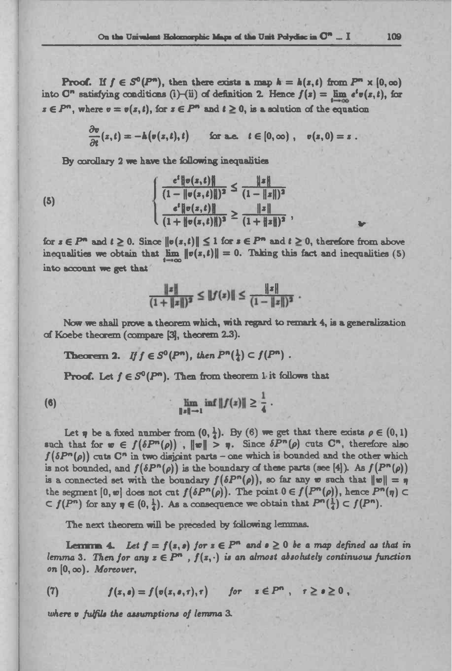**Proof.** If  $f \in S^0(P^n)$ , then there exists a map  $h = h(x,t)$  from  $P^n \times [0,\infty)$ **Proof.** If  $f \in S^{\circ}(P^m)$ , then there exists a map  $h = h(z, t)$  from  $P^m \times [0, \infty)$  into  $C^n$  satisfying conditions (i)—(ii) of definition 2. Hence  $f(z) = \lim_{h \to 0} e^t v(z, t)$ , for  $s \in P^n$ , where  $v = v(s, t)$ , for  $s \in P^n$  and  $t \ge 0$ , is a solution of the equation  $\therefore$  If  $f \in S^0(P^n)$ , then there exists a map  $k = k(z, t)$  from  $F$ <br>tisfying coaditions (i)-(ii) of definition 2. Hence  $f(z) = \lim_{k \to \infty} e^{iz}$ <br>tere  $v = v(z, t)$ , for  $z \in P^n$  and  $t \ge 0$ , is a solution of the equat<br> $\frac{\partial v}{\partial t}(z, t)$ On the Univelant Holomorphic Maps of the Unit<br>
Proof. If  $f \in S^0(P^n)$ , then there exists a map<br>
nto O" satisfying conditions (i)-(ii) of definition 2. If<br>  $\in P^n$ , where  $v = v(x,t)$ , for  $x \in P^n$  and  $t \ge 0$ , is a s<br>  $\frac{\partial v}{\partial t$ 

$$
\frac{\partial v}{\partial t}(z,t)=-h(v(z,t),t) \quad \text{for a.e.} \quad t\in[0,\infty), \quad v(z,0)=z.
$$

By corollary <sup>2</sup> we have the following inequalities

(5) 
$$
\begin{cases} \frac{e^{t} \|\sigma(x,t)\|}{(1 - \|\sigma(x,t)\|)^{2}} \leq \frac{\|x\|}{(1 - \|x\|)^{2}} \\ \frac{e^{t} \|\sigma(x,t)\|}{(1 + \|\sigma(x,t)\|)^{2}} \geq \frac{\|x\|}{(1 + \|x\|)^{2}}, \end{cases}
$$

for  $s \in P^n$  and  $t \ge 0$ . Since  $||v(s,t)|| \le 1$  for  $s \in P^n$  and  $t \ge 0$ , therefore from above for  $s \in P^n$  and  $t \ge 0$ . Since  $||\mathbf{v}(s,t)|| \le 1$  for  $s \in P^n$  and  $t \ge 0$ , therefore from above inequalities we obtain that  $\lim_{t \to \infty} ||\mathbf{v}(s,t)|| = 0$ . Taking this fact and inequalities (5) into account we get that

$$
\frac{\|z\|}{(1+\|z\|)^2} \le \|f(z)\| \le \frac{\|z\|}{(1-\|z\|)^2}.
$$

Now we shall prove a theorem which, with regard to remark 4, is a generalization of Koebe theorem (compare [3], theorem 23).

Theorem 2. *If*  $f \in S^0(P^n)$ , then  $P^n(\frac{1}{t}) \subset f(P^n)$ .

**Proof.** Let  $f \in S^0(P^n)$ . Then from theorem 1 it follows that

(6) 
$$
\lim_{\|x\|\to 1} \inf \|f(x)\| \geq \frac{1}{4}.
$$

Let  $\eta$  be a fixed number from  $(0, \frac{1}{4})$ . By  $(6)$  we get that there exists  $\rho \in (0, 1)$ such that for  $w \in f(\delta P^n(\rho))$ ,  $||w|| > \eta$ . Since  $\delta P^n(\rho)$  cuts  $C^n$ , therefore also  $f(\delta P^n(\rho))$  cuts  $\mathbb{C}^n$  in two disjoint parts – one which is bounded and the other which is not bounded, and  $f(\delta P^n(\rho))$  is the boundary of these parts (see [4]). As  $f(P^n(\rho))$ is a connected set with the boundary  $f(\delta P^n(\rho))$ , so far any w such that  $||w|| = \eta$ the segment  $[0, w]$  does not cut  $f(\delta P^n(\rho))$ . The point  $0 \in f(P^n(\rho))$ , hence  $P^n(\eta) \subset$  $\subset f(P^n)$  for any  $\eta \in (0, \frac{1}{4})$ . As a consequence we obtain that  $P^n(\frac{1}{4}) \subset f(P^n)$ .

The next theorem will be preceded by following lemmas.

The next theorem will be preceded by following lemmas.<br>
Lemma 4. Let  $f = f(z, s)$  for  $z \in P^n$  and  $s \ge 0$  be a map defined as that in<br>
lemma 3. Then for any  $z \in P^n$ ,  $f(z, \cdot)$  is an almost absolutely continuous function<br>
on lemma 3. Then for any  $z \in P^n$  ,  $f(z, \cdot)$  is an almost absolutely continuous function on  $[0, \infty)$ . Moreover,

(7) 
$$
f(z, s) = f(v(z, s, r), r) \quad \text{for} \quad z \in P^n, \quad r \geq s \geq 0,
$$

*where <sup>v</sup> fulfils the assumptions of lemma 3.*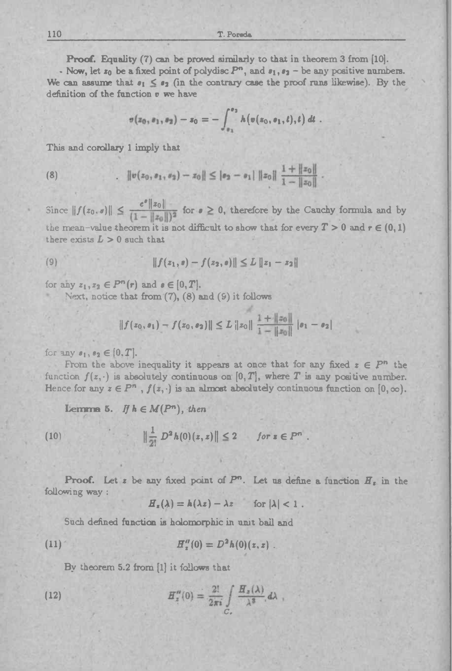**Proof.** Equality (7) can be proved similarly to that in theorem <sup>3</sup> from [10].

- Now, let  $z_0$  be a fixed point of polydisc  $P^n$ , and  $s_1, s_2$  - be any positive numbers. We can assume that  $s_1 \leq s_2$  (in the contrary case the proof runs likewise). By the definition of the function  $v$  we have

$$
v(z_0, s_1, s_2) - s_0 = - \int_{s_1}^{s_2} h(v(s_0, s_1, t), t) dt.
$$

This and corollary <sup>1</sup> imply that

(8) 
$$
\|v(z_0,s_1,s_2)-z_0\| \leq |s_2-s_1| \|z_0\| \frac{1+\|z_0\|}{1-\|z_0\|}.
$$

110<br> **Proof.** Equ<br>
Now, let  $z_0$  l<br>
We can assume 1<br>
definition of the :<br>
This and corollar<br>
(8)<br>
.<br>
Since  $||f(z_0, \theta)||$ <br>
the mean-value  $z$ Since  $||f(z_0, s)|| \leq \frac{e^{s}||z_0||}{(1 - ||z_0||)^2}$  for  $s \geq 0$ , therefore by the Cauchy formula and by the mean-value theorem it is not difficult to show that for every  $T > 0$  and  $r \in (0,1)$ there exists  $L > 0$  such that

(9) 
$$
||f(z_1, s) - f(z_2, s)|| \leq L ||z_1 - z_2||
$$

for any  $z_1, z_2 \in P^n(r)$  and  $s \in [0, T]$ .

Next, notice that from  $(7)$ ,  $(8)$  and  $(9)$  it follows

$$
||f(z_0, \mathbf{e}_1) - f(z_0, \mathbf{e}_2)|| \leq L ||z_0|| \frac{1 + ||z_0||}{1 - ||z_0||} |\mathbf{e}_1 - \mathbf{e}_2|
$$

for any  $s_1, s_2 \in [0, T]$ .

From the above inequality it appears at once that for any fixed  $z \in P^n$  the function  $f(z, \cdot)$  is absolutely continuous on  $[0, T]$ , where *T* is any positive number. tunction  $f(z, \cdot)$  is absolutely continuous on [0, T], where T is any positive number.<br>Hence for any  $z \in P^n$ ,  $f(z, \cdot)$  is an almost absolutely continuous function on [0, co].<br>**Lemma 5.** If  $h \in M(P^n)$ , then<br>(10)  $\|\frac{1}{2!} D^$ 

(10) 
$$
\|\frac{1}{2!} D^2 h(0)(z,z)\| \leq 2 \quad \text{for } z \in P^n.
$$

**Proof.** Let *z* be any fixed point of  $P^n$ . Let us define a function  $H_s$  in the following way : **Example 18 A** is defined as  $H_x(\lambda) = h(\lambda z) - \lambda z$  for  $|\lambda| < 1$ .<br> **Compare is holomorphic in unit ball and** 

$$
H_x(\lambda) = h(\lambda z) - \lambda z \quad \text{for } |\lambda| < 1.
$$

Such defined function is holomorphic in unit bail and

(11) 
$$
H''_z(0) = D^2 h(0)(z, z)
$$

By theorem 5.2 from (1] it follows that

(12) 
$$
H''_z(0) = \frac{2!}{2\pi i} \int\limits_{C_z} \frac{H_z(\lambda)}{\lambda^3} d\lambda
$$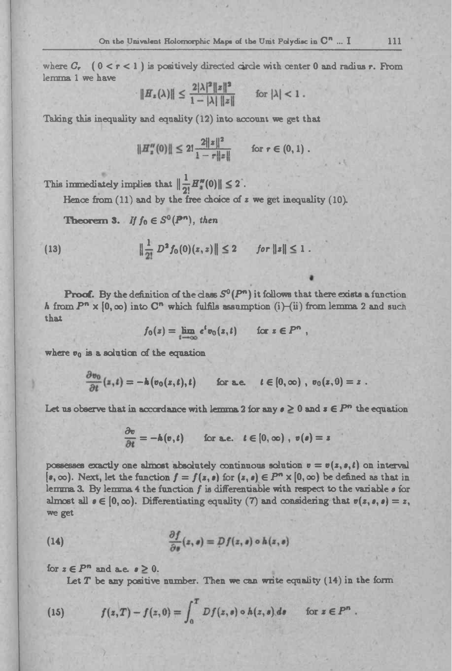where  $C_r$  ( $0 < r < 1$ ) is positively directed circle with center 0 and radius r. From lemma <sup>1</sup> we have

$$
||H_z(\lambda)|| \leq \frac{2|\lambda|^2 ||z||^2}{1 - |\lambda| ||z||} \quad \text{for } |\lambda| < 1.
$$

Taking this inequality and equality (12) into account we get that

divalent Holomorphic Maple of the Unit Polydisc

\n1) is positively directed circle with center

\n
$$
||H_z(\lambda)|| \leq \frac{2|\lambda|^2 ||z||^2}{1 - |\lambda| ||z||}
$$
\nfor  $|\lambda| < 1$ .

\nand equality (12) into account we get the

\n
$$
||H''_z(0)|| \leq 2! \frac{2||z||^2}{1 - r||z||}
$$
\nfor  $r \in (0, 1)$ .

\nvalues that  $\left\| \frac{1}{\alpha} H''(0) \right\| \leq 2$ .

This immediately implies that  $\|\frac{1}{2!}H'''(0)\| \leq 2$ .

Hence from (11) and by the free choice of z we get inequality (10).  
\n**Theorem 3.** If 
$$
f_0 \in S^0(P^n)
$$
, then  
\n(13) 
$$
\|\frac{1}{2!} D^2 f_0(0)(z, z) \| \le 2 \quad \text{for } \|z\| \le 1.
$$

**Proof.** By the definition of the class  $S^0(P^n)$  it follows that there exists a function *h* from  $P^n \times [0, \infty)$  into  $C^n$  which fulfils assumption (i)—(ii) from lemma 2 and such that mition of the class  $S^0(P^n)$  it follows that<br>  $S^0(P^n)$  it follows the<br>  $f_0(z) = \lim_{t \to \infty} e^t v_0(z,t)$  for  $z \in P^n$ ,<br>  $f_0$  the ermotion

$$
f_0(z) = \lim_{t \to \infty} e^t v_0(z,t) \quad \text{for } z \in P^n
$$

where  $v_0$  is a solution of the equation

$$
f_0(z) = \lim_{t \to \infty} e^t v_0(z, t) \quad \text{for } z \in P^n
$$
\nis a solution of the equation

\n
$$
\frac{\partial v_0}{\partial t}(z, t) = -h(v_0(z, t), t) \quad \text{for a.e.} \quad t \in [0, \infty), \ v_0(z, 0) = z
$$

Let us observe that in accordance with lemma 2 for any  $e \geq 0$  and  $s \in P^n$  the equation

$$
= -k(v_0(z,\ell),t) \quad \text{for a.e.} \quad t \in [0,\infty), v_0(z)
$$
  
to the procedure is a secondance with lemma 2 for any  $e \ge 0$  and  $z$   

$$
\frac{\partial v}{\partial t} = -k(v,t) \quad \text{for a.e.} \quad t \in [0,\infty), v(e) = z
$$

possesses exactly one almost absolutely continuous solution  $v = v(z, s, t)$  on interval  $(s, \infty)$ . Next, let the function  $f = f(s, s)$  for  $(s, s) \in P<sup>n</sup> \times [0, \infty)$  be defined as that in lemma 3. By lemma <sup>4</sup> the function *f* is differentiable with respect to the variable *<sup>a</sup> ior* almost all  $\mathbf{z} \in [0,\infty)$ . Differentiating equality (7) and considering that  $\mathbf{v}(z,\mathbf{z},\mathbf{z}) = z$ , we get

(14) 
$$
\frac{\partial f}{\partial s}(z, s) = Df(z, s) \circ h(z, s)
$$

for  $z \in P^n$  and a.e.  $s \geq 0$ .

Let *T* be any positive number. Then we can write equality (14) in the form

(15) 
$$
f(z,T)-f(z,0)=\int_0^T Df(z,s)\circ h(z,s)\,ds \quad \text{for } z\in P^n.
$$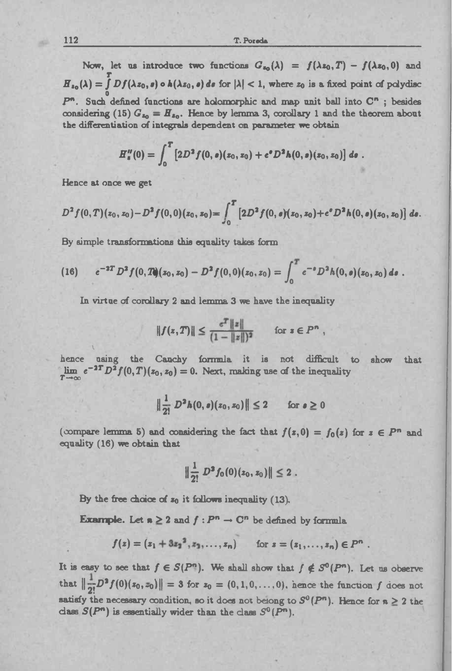112 **T. Pored»**

Now, let us introduce two functions  $G_{z_0}(\lambda) = f(\lambda z_0,T) - f(\lambda z_0,0)$  and  $F_{s_0}(\lambda) = \int Df(\lambda z_0, s) \circ h(\lambda z_0, s) ds$  for  $|\lambda| < 1$ , where  $z_0$  is a fixed point of polydisc o  $H_{s_0}(\lambda) = \int Df(\lambda z_0, s) \circ h(\lambda z_0, s) ds$  for  $|\lambda| < 1$ , where  $z_0$  is a fixed point of polydisc<br> $P^n$ . Such defined functions are holomorphic and map unit ball into  $C^n$ ; besides considering (15)  $G_{z_0} = H_{z_0}$ . Hence by lemma 3, corollary 1 and the theorem about the differentiation of integrals dependent on parameter we obtain 7. Powels<br>
We, let us introduce two functions  $G_{s_0}(\lambda) = f(\lambda s_0, T) - f(\lambda s_0, 0)$ <br>  $=\int_{\delta}^{T} Df(\lambda s_0, s) \circ A(\lambda s_0, s) ds$  for  $|\lambda| < 1$ , where  $z_0$  is a fixed point of polyce<br>  $\sin^2(\lambda s_0, s) \circ A(\lambda s_0, s) ds$  for  $|\lambda| < 1$ , where  $z_0$ 

$$
H_s''(0) = \int_0^T \left[2D^2 f(0, s)(z_0, z_0) + e^s D^2 h(0, s)(z_0, z_0)\right] ds.
$$

Hence at once we get

$$
D^{2} f(0, T)(z_{0}, z_{0})-D^{2} f(0, 0)(z_{0}, z_{0})=\int_{0}^{T} [2D^{2} f(0, s)(z_{0}, z_{0})+e^{s} D^{2} h(0, s)(z_{0}, z_{0})] ds.
$$

By simple transformations this equality takes form

(16) 
$$
e^{-2T} D^2 f(0,T)(z_0,z_0) - D^2 f(0,0)(z_0,z_0) = \int_0^T e^{-\theta} D^2 h(0,\theta)(z_0,z_0) d\theta.
$$

In virtue of corollary <sup>2</sup> and lemma <sup>3</sup> we have the inequality

$$
||f(z,T)|| \leq \frac{\epsilon^T ||z||}{(1-||z||)^2} \quad \text{for } z \in P^n,
$$

hence using the Cauchy formula it is not difficult to show that hence using the Cauchy formula it is not difficult the  $e^{-2T}D^2f(0,T)(z_0, z_0) = 0$ . Next, making use of the inequality  $T \to \infty$ Canchy formula it is not difficulty,  $z_0$ ) = 0. Next, making use of the inequality  $\|\frac{1}{2!} D^2 h(0, s)(z_0, z_0)\| \leq 2$  for  $s \geq 0$ 

$$
\|\frac{1}{2!}\,D^2h(0,\bullet)(z_0,z_0)\|\leq 2\qquad\text{for }\bullet\geq 0
$$

(compare lemma 5) and considering the fact that  $f(z,0) = f_0(z)$  for  $z \in P^n$  and equality (16) we obtain that

$$
\|\frac{1}{2!}\ D^2 f_0(0)(z_0,z_0)\| \leq 2.
$$

By the free choice of  $z_0$  it follows inequality (13).

**Example.** Let  $n \geq 2$  and  $f: P^n \to \mathbb{C}^n$  be defined by formula

free choice of 
$$
z_0
$$
 it follows inequality (13).  
\nble. Let  $n \geq 2$  and  $f : P^n \to \mathbb{C}^n$  be defined by formula  
\n
$$
f(z) = (z_1 + 3z_2^2, z_1, \ldots, z_n) \quad \text{for } z = (z_1, \ldots, z_n) \in P^n
$$

It is easy to see that  $f \in S(P^n)$ . We shall show that  $f \notin S^0(P^n)$ . Let us observe that  $\|\frac{1}{2!}D^2f(0)(z_0, z_0)\| = 3$  for  $z_0 = (0,1,0,\ldots,0)$ , hence the function *f* does not satisfy the necessary condition, so it does not belong to  $S^0(P^n)$ . Hence for  $n \geq 2$  the class  $S(P^n)$  is essentially wider than the class  $S^0(P^n)$ .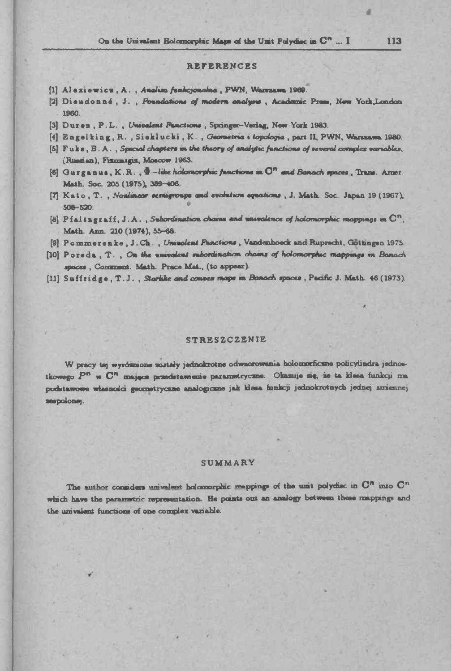### **REFERENCES**

- [1] Alexiewics, A., Anolisa funkcjonolne, PWN, Warszama 1969.
- [2] Dieudonné, J., Foundations of modern analyse, Academic Press, New York, London 1960.
- [3] Duren, P.L., Umvalent Panctions, Springer-Verlag, New York 1983.
- [4] Engelking, R., Sieklucki, K., Geometria i topologia, part II, PWN, Warszawa 1980.
- [5] Fuks, B.A., Special chapters in the theory of analytic functions of several complex variables, (Russian), Fixmatgiz, Moscow 1963.
- [6] Gurganus, K.R.,  $\Phi$  -like holomorphic functions in  $\mathbb{C}^n$  and Banach spaces. Trans. Arner. Math. Soc. 205 (1975), 389-406.
- [7] Kato, T., Nonimear semigroups and evolution equations, J. Math. Soc. Japan 19 (1967),  $508 - 520.$
- [8]  $P$ ialtzgrafi, J.A., Subordination chains and univalence of holomorphic mappings in  $C^n$ . Math. Ann. 210 (1974), 55-68.
- [9] Pommerenke, J.Ch., Univalent Fanctions, Vandenhoeck and Ruprecht, Gottingen 1975.
- [10] Poreda, T., On the univalent subordination chains of holomorphic mappings in Banach spaces, Communst. Math. Prace Mat., (to appear).
- [11] Suffridge, T.J., Startike and conver maps in Banach spaces, Pacific J. Math. 46 (1973).

#### **STRESZCZENIE**

W pracy tej wyróżnione zostały jednokrotne odwzorowania holomorficzne policylindra jednostkowego P<sup>n</sup> w C<sup>n</sup> mające przedstawienie paramstryczne. Okazuje się, że ta klasa funkcji ma podstawowe własności geometryczne analogiczne jak klesa funkcji jednokrotnych jednej zmiennej sespolonej.

### SUMMARY

The author considers univalent holomorphic mappings of the unit polydisc in  $\mathbb{C}^n$  into  $\mathbb{C}^n$ which have the parametric representation. He points out an analogy between these mappings and the univalent functions of one complex variable.